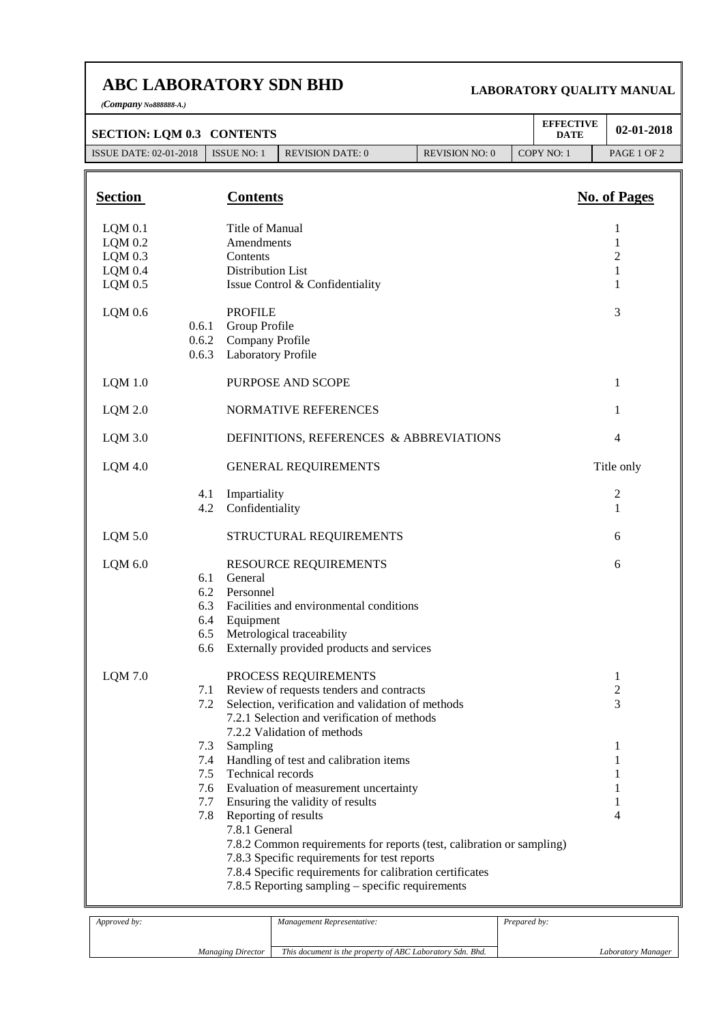## **ABC LABORATORY SDN BHD**

*(Company No888888-A.)*

## **LABORATORY QUALITY MANUAL**

| <b>SECTION: LQM 0.3 CONTENTS</b> |                |                                                               |                                                                                                          |                                                                       |  | <b>EFFECTIVE</b><br><b>DATE</b> | 02-01-2018          |
|----------------------------------|----------------|---------------------------------------------------------------|----------------------------------------------------------------------------------------------------------|-----------------------------------------------------------------------|--|---------------------------------|---------------------|
| <b>ISSUE DATE: 02-01-2018</b>    |                | <b>ISSUE NO: 1</b>                                            | <b>REVISION DATE: 0</b>                                                                                  | <b>REVISION NO: 0</b>                                                 |  | COPY NO: 1                      | PAGE 1 OF 2         |
|                                  |                |                                                               |                                                                                                          |                                                                       |  |                                 |                     |
| <b>Section</b>                   |                | <b>Contents</b>                                               |                                                                                                          |                                                                       |  |                                 | <b>No. of Pages</b> |
| $LQM$ 0.1                        |                | Title of Manual                                               |                                                                                                          |                                                                       |  |                                 | 1                   |
| $LQM$ 0.2                        |                | Amendments                                                    |                                                                                                          |                                                                       |  |                                 | 1                   |
| $LQM$ 0.3                        |                | Contents                                                      |                                                                                                          |                                                                       |  |                                 | $\overline{c}$      |
| $LQM$ 0.4                        |                | Distribution List                                             |                                                                                                          |                                                                       |  |                                 | 1<br>1              |
| $LQM$ 0.5                        |                |                                                               | Issue Control & Confidentiality                                                                          |                                                                       |  |                                 |                     |
| $LQM$ 0.6                        |                | <b>PROFILE</b>                                                |                                                                                                          |                                                                       |  |                                 | 3                   |
|                                  | 0.6.1<br>0.6.2 | Group Profile<br>Company Profile<br><b>Laboratory Profile</b> |                                                                                                          |                                                                       |  |                                 |                     |
|                                  | 0.6.3          |                                                               |                                                                                                          |                                                                       |  |                                 |                     |
| $LQM$ 1.0                        |                |                                                               | PURPOSE AND SCOPE                                                                                        |                                                                       |  |                                 | 1                   |
| $LQM$ 2.0                        |                |                                                               | NORMATIVE REFERENCES                                                                                     |                                                                       |  |                                 | 1                   |
| $LQM$ 3.0                        |                |                                                               | DEFINITIONS, REFERENCES & ABBREVIATIONS                                                                  |                                                                       |  |                                 | $\overline{4}$      |
| $LQM$ 4.0                        |                |                                                               | <b>GENERAL REQUIREMENTS</b>                                                                              |                                                                       |  |                                 | Title only          |
|                                  | 4.1            | Impartiality                                                  |                                                                                                          |                                                                       |  |                                 | 2                   |
|                                  | 4.2            | Confidentiality                                               |                                                                                                          |                                                                       |  |                                 | 1                   |
| $LQM$ 5.0                        |                |                                                               | STRUCTURAL REQUIREMENTS                                                                                  |                                                                       |  |                                 | 6                   |
| LQM 6.0                          |                |                                                               | <b>RESOURCE REQUIREMENTS</b>                                                                             |                                                                       |  |                                 | 6                   |
|                                  | 6.1            | General                                                       |                                                                                                          |                                                                       |  |                                 |                     |
|                                  | 6.2            | Personnel                                                     |                                                                                                          |                                                                       |  |                                 |                     |
|                                  | 6.3            |                                                               | Facilities and environmental conditions                                                                  |                                                                       |  |                                 |                     |
|                                  | 6.4<br>6.5     | Equipment                                                     | Metrological traceability                                                                                |                                                                       |  |                                 |                     |
|                                  | 6.6            |                                                               | Externally provided products and services                                                                |                                                                       |  |                                 |                     |
| $LQM$ 7.0                        |                |                                                               | PROCESS REQUIREMENTS                                                                                     |                                                                       |  |                                 | 1                   |
|                                  | 7.1            |                                                               | Review of requests tenders and contracts                                                                 |                                                                       |  |                                 | 2                   |
|                                  | 7.2            |                                                               | Selection, verification and validation of methods                                                        |                                                                       |  |                                 | 3                   |
|                                  |                |                                                               | 7.2.1 Selection and verification of methods                                                              |                                                                       |  |                                 |                     |
|                                  |                |                                                               | 7.2.2 Validation of methods                                                                              |                                                                       |  |                                 |                     |
|                                  | 7.3<br>7.4     | Sampling                                                      | Handling of test and calibration items                                                                   |                                                                       |  |                                 | 1<br>1              |
|                                  | 7.5            | Technical records                                             |                                                                                                          |                                                                       |  |                                 | 1                   |
|                                  | 7.6            |                                                               | Evaluation of measurement uncertainty                                                                    |                                                                       |  |                                 | 1                   |
|                                  | 7.7            |                                                               | Ensuring the validity of results                                                                         |                                                                       |  |                                 | 1                   |
|                                  | 7.8            | Reporting of results                                          |                                                                                                          |                                                                       |  |                                 | 4                   |
|                                  |                | 7.8.1 General                                                 |                                                                                                          |                                                                       |  |                                 |                     |
|                                  |                |                                                               |                                                                                                          | 7.8.2 Common requirements for reports (test, calibration or sampling) |  |                                 |                     |
|                                  |                |                                                               | 7.8.3 Specific requirements for test reports<br>7.8.4 Specific requirements for calibration certificates |                                                                       |  |                                 |                     |
|                                  |                |                                                               | 7.8.5 Reporting sampling – specific requirements                                                         |                                                                       |  |                                 |                     |
|                                  |                |                                                               |                                                                                                          |                                                                       |  |                                 |                     |

| <i>Approved by:</i>      | Management Representative:                                | <i>Prepared by:</i> |
|--------------------------|-----------------------------------------------------------|---------------------|
|                          |                                                           |                     |
| <b>Managing Director</b> | This document is the property of ABC Laboratory Sdn. Bhd. | Laboratory Manager  |